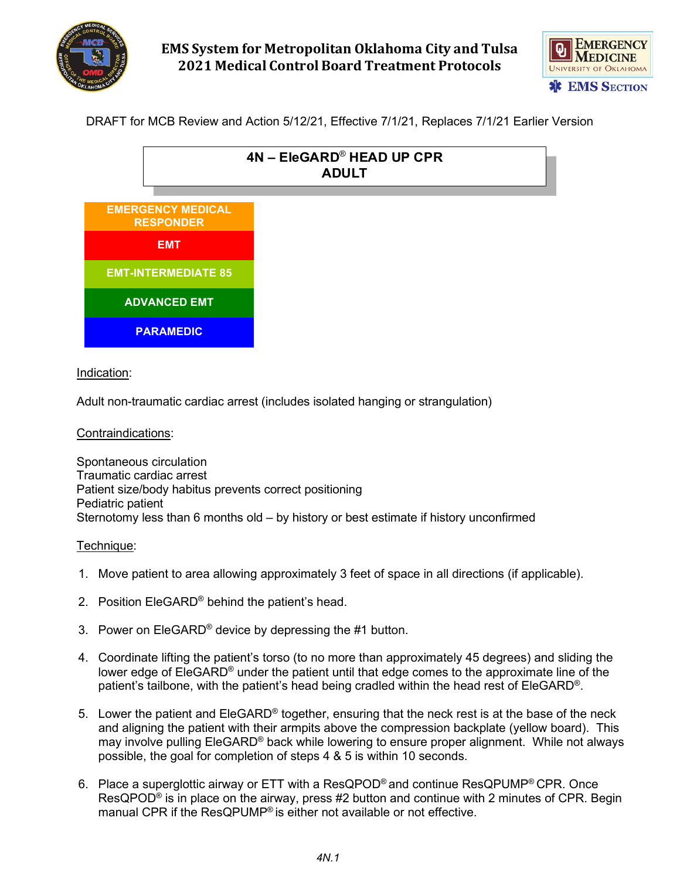

# **EMS System for Metropolitan Oklahoma City and Tulsa 2021 Medical Control Board Treatment Protocols**



DRAFT for MCB Review and Action 5/12/21, Effective 7/1/21, Replaces 7/1/21 Earlier Version



### Indication:

Adult non-traumatic cardiac arrest (includes isolated hanging or strangulation)

#### Contraindications:

Spontaneous circulation Traumatic cardiac arrest Patient size/body habitus prevents correct positioning Pediatric patient Sternotomy less than 6 months old – by history or best estimate if history unconfirmed

#### Technique:

- 1. Move patient to area allowing approximately 3 feet of space in all directions (if applicable).
- 2. Position EleGARD® behind the patient's head.
- 3. Power on EleGARD<sup>®</sup> device by depressing the #1 button.
- 4. Coordinate lifting the patient's torso (to no more than approximately 45 degrees) and sliding the lower edge of EleGARD® under the patient until that edge comes to the approximate line of the patient's tailbone, with the patient's head being cradled within the head rest of EleGARD®.
- 5. Lower the patient and EleGARD® together, ensuring that the neck rest is at the base of the neck and aligning the patient with their armpits above the compression backplate (yellow board). This may involve pulling EleGARD® back while lowering to ensure proper alignment. While not always possible, the goal for completion of steps 4 & 5 is within 10 seconds.
- 6. Place a superglottic airway or ETT with a ResQPOD® and continue ResQPUMP® CPR. Once ResQPOD<sup>®</sup> is in place on the airway, press #2 button and continue with 2 minutes of CPR. Begin manual CPR if the ResQPUMP® is either not available or not effective.